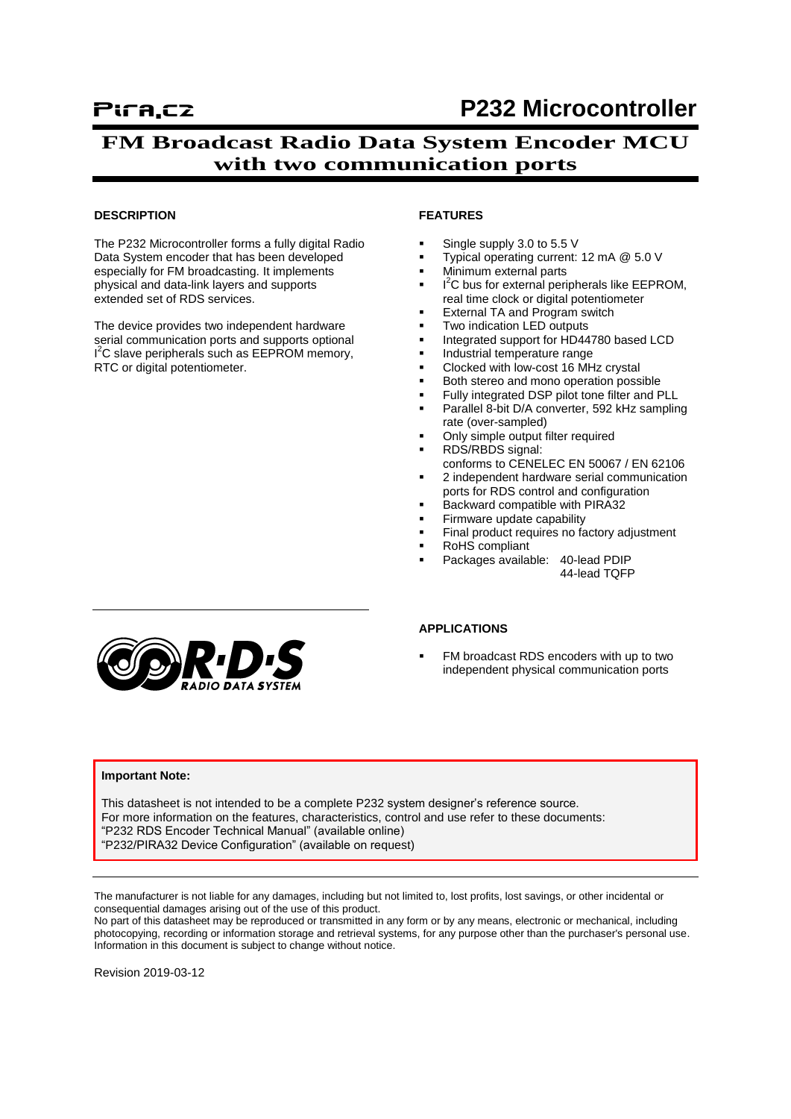# **FM Broadcast Radio Data System Encoder MCU with two communication ports**

#### **DESCRIPTION**

The P232 Microcontroller forms a fully digital Radio Data System encoder that has been developed especially for FM broadcasting. It implements physical and data-link layers and supports extended set of RDS services.

The device provides two independent hardware serial communication ports and supports optional I<sup>2</sup>C slave peripherals such as EEPROM memory, RTC or digital potentiometer.

#### **FEATURES**

- Single supply 3.0 to 5.5 V
- Typical operating current: 12 mA @ 5.0 V
- Minimum external parts
- $I^2C$  bus for external peripherals like EEPROM, real time clock or digital potentiometer
- External TA and Program switch
- Two indication LED outputs
- Integrated support for HD44780 based LCD
- Industrial temperature range
- Clocked with low-cost 16 MHz crystal
- Both stereo and mono operation possible
- Fully integrated DSP pilot tone filter and PLL
- Parallel 8-bit D/A converter, 592 kHz sampling rate (over-sampled)
- Only simple output filter required
- RDS/RBDS signal: conforms to CENELEC EN 50067 / EN 62106
- 2 independent hardware serial communication ports for RDS control and configuration
- Backward compatible with PIRA32
- Firmware update capability
- Final product requires no factory adjustment
- RoHS compliant
- Packages available: 40-lead PDIP 44-lead TQFP



#### **APPLICATIONS**

 FM broadcast RDS encoders with up to two independent physical communication ports

#### **Important Note:**

This datasheet is not intended to be a complete P232 system designer's reference source. For more information on the features, characteristics, control and use refer to these documents: "P232 RDS Encoder Technical Manual" (available online) "P232/PIRA32 Device Configuration" (available on request)

The manufacturer is not liable for any damages, including but not limited to, lost profits, lost savings, or other incidental or consequential damages arising out of the use of this product.

No part of this datasheet may be reproduced or transmitted in any form or by any means, electronic or mechanical, including photocopying, recording or information storage and retrieval systems, for any purpose other than the purchaser's personal use. Information in this document is subject to change without notice.

Revision 2019-03-12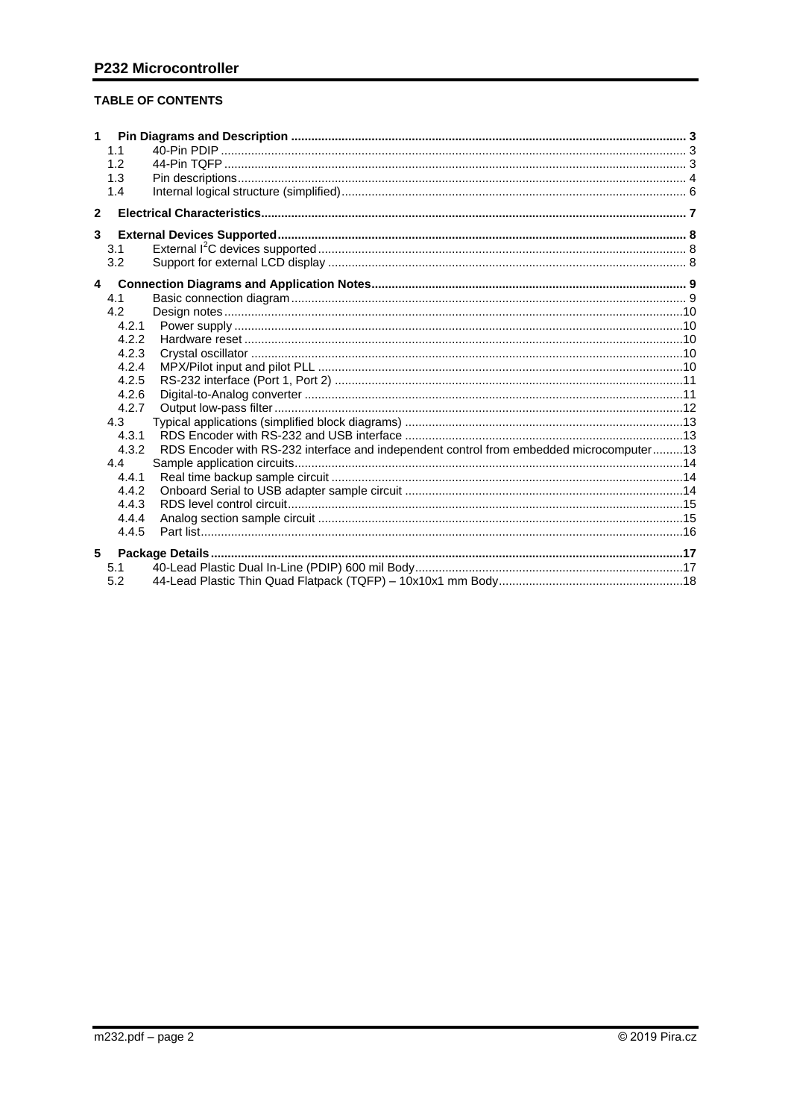## **TABLE OF CONTENTS**

| $\mathbf{1}$ | 1.1<br>1.2<br>1.3<br>1.4 |                                                                                         |  |
|--------------|--------------------------|-----------------------------------------------------------------------------------------|--|
| $\mathbf{2}$ |                          |                                                                                         |  |
| 3            |                          |                                                                                         |  |
|              | 3.1                      |                                                                                         |  |
|              | 3.2                      |                                                                                         |  |
|              | $\overline{a}$           |                                                                                         |  |
|              | 4.1                      |                                                                                         |  |
|              | 4.2                      |                                                                                         |  |
|              | 4.2.1                    |                                                                                         |  |
|              | 4.2.2                    |                                                                                         |  |
|              | 4.2.3                    |                                                                                         |  |
|              | 4.2.4                    |                                                                                         |  |
|              | 4.2.5                    |                                                                                         |  |
|              | 4.2.6                    |                                                                                         |  |
|              | 4.2.7                    |                                                                                         |  |
|              | 4.3<br>4.3.1             |                                                                                         |  |
|              | 4.3.2                    | RDS Encoder with RS-232 interface and independent control from embedded microcomputer13 |  |
|              | 4.4                      |                                                                                         |  |
|              | 4.4.1                    |                                                                                         |  |
|              | 4.4.2                    |                                                                                         |  |
|              | 4.4.3                    |                                                                                         |  |
|              | 4.4.4                    |                                                                                         |  |
|              | 4.4.5                    |                                                                                         |  |
| 5            |                          |                                                                                         |  |
|              | 5.1                      |                                                                                         |  |
|              | 5.2                      |                                                                                         |  |
|              |                          |                                                                                         |  |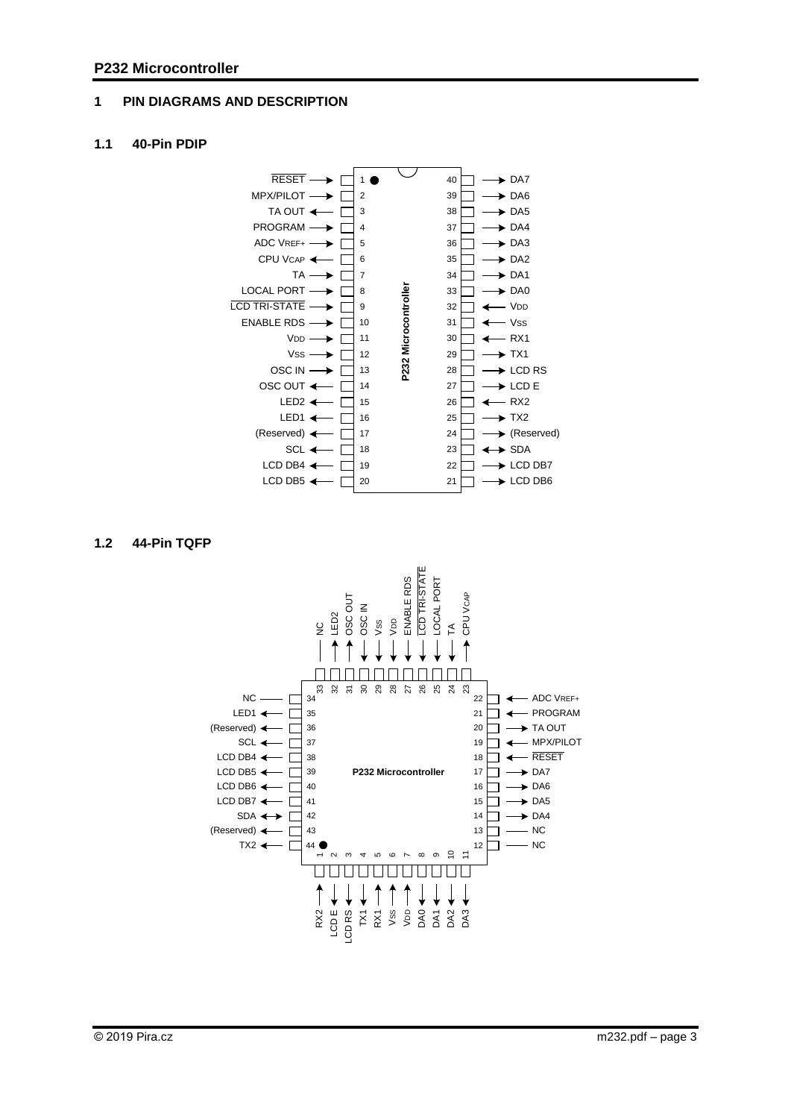## <span id="page-2-0"></span>**1 PIN DIAGRAMS AND DESCRIPTION**

### <span id="page-2-1"></span>**1.1 40-Pin PDIP**



### <span id="page-2-2"></span>**1.2 44-Pin TQFP**

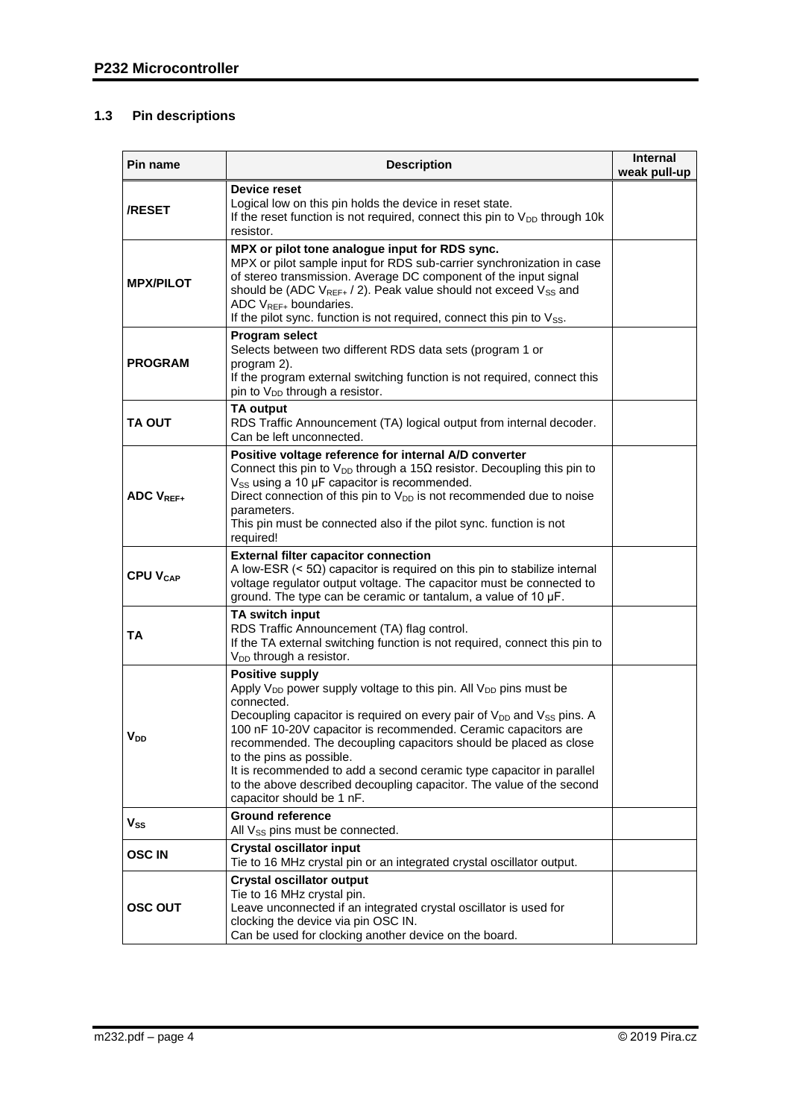## <span id="page-3-0"></span>**1.3 Pin descriptions**

| Pin name                   | <b>Description</b>                                                                                                                                                                                                                                                                                                                                                                                                                                                                                                                                                               | <b>Internal</b><br>weak pull-up |
|----------------------------|----------------------------------------------------------------------------------------------------------------------------------------------------------------------------------------------------------------------------------------------------------------------------------------------------------------------------------------------------------------------------------------------------------------------------------------------------------------------------------------------------------------------------------------------------------------------------------|---------------------------------|
| <b>/RESET</b>              | Device reset<br>Logical low on this pin holds the device in reset state.<br>If the reset function is not required, connect this pin to $V_{DD}$ through 10 $k$<br>resistor.                                                                                                                                                                                                                                                                                                                                                                                                      |                                 |
| <b>MPX/PILOT</b>           | MPX or pilot tone analogue input for RDS sync.<br>MPX or pilot sample input for RDS sub-carrier synchronization in case<br>of stereo transmission. Average DC component of the input signal<br>should be (ADC V <sub>REF+</sub> / 2). Peak value should not exceed V <sub>SS</sub> and<br>ADC $V_{REF+}$ boundaries.<br>If the pilot sync. function is not required, connect this pin to $V_{SS}$ .                                                                                                                                                                              |                                 |
| <b>PROGRAM</b>             | <b>Program select</b><br>Selects between two different RDS data sets (program 1 or<br>program 2).<br>If the program external switching function is not required, connect this<br>pin to V <sub>DD</sub> through a resistor.                                                                                                                                                                                                                                                                                                                                                      |                                 |
| TA OUT                     | TA output<br>RDS Traffic Announcement (TA) logical output from internal decoder.<br>Can be left unconnected.                                                                                                                                                                                                                                                                                                                                                                                                                                                                     |                                 |
| <b>ADC VREF+</b>           | Positive voltage reference for internal A/D converter<br>Connect this pin to $V_{DD}$ through a 15 $\Omega$ resistor. Decoupling this pin to<br>V <sub>SS</sub> using a 10 µF capacitor is recommended.<br>Direct connection of this pin to $V_{DD}$ is not recommended due to noise<br>parameters.<br>This pin must be connected also if the pilot sync. function is not<br>required!                                                                                                                                                                                           |                                 |
| <b>CPU V<sub>CAP</sub></b> | <b>External filter capacitor connection</b><br>A low-ESR ( $<$ 5 $\Omega$ ) capacitor is required on this pin to stabilize internal<br>voltage regulator output voltage. The capacitor must be connected to<br>ground. The type can be ceramic or tantalum, a value of 10 µF.                                                                                                                                                                                                                                                                                                    |                                 |
| TA                         | TA switch input<br>RDS Traffic Announcement (TA) flag control.<br>If the TA external switching function is not required, connect this pin to<br>V <sub>DD</sub> through a resistor.                                                                                                                                                                                                                                                                                                                                                                                              |                                 |
| V <sub>DD</sub>            | <b>Positive supply</b><br>Apply V <sub>DD</sub> power supply voltage to this pin. All V <sub>DD</sub> pins must be<br>connected.<br>Decoupling capacitor is required on every pair of V <sub>DD</sub> and V <sub>SS</sub> pins. A<br>100 nF 10-20V capacitor is recommended. Ceramic capacitors are<br>recommended. The decoupling capacitors should be placed as close<br>to the pins as possible.<br>It is recommended to add a second ceramic type capacitor in parallel<br>to the above described decoupling capacitor. The value of the second<br>capacitor should be 1 nF. |                                 |
| $\mathsf{V}_{\mathsf{SS}}$ | <b>Ground reference</b><br>All Vss pins must be connected.                                                                                                                                                                                                                                                                                                                                                                                                                                                                                                                       |                                 |
| <b>OSCIN</b>               | <b>Crystal oscillator input</b><br>Tie to 16 MHz crystal pin or an integrated crystal oscillator output.                                                                                                                                                                                                                                                                                                                                                                                                                                                                         |                                 |
| <b>OSC OUT</b>             | <b>Crystal oscillator output</b><br>Tie to 16 MHz crystal pin.<br>Leave unconnected if an integrated crystal oscillator is used for<br>clocking the device via pin OSC IN.<br>Can be used for clocking another device on the board.                                                                                                                                                                                                                                                                                                                                              |                                 |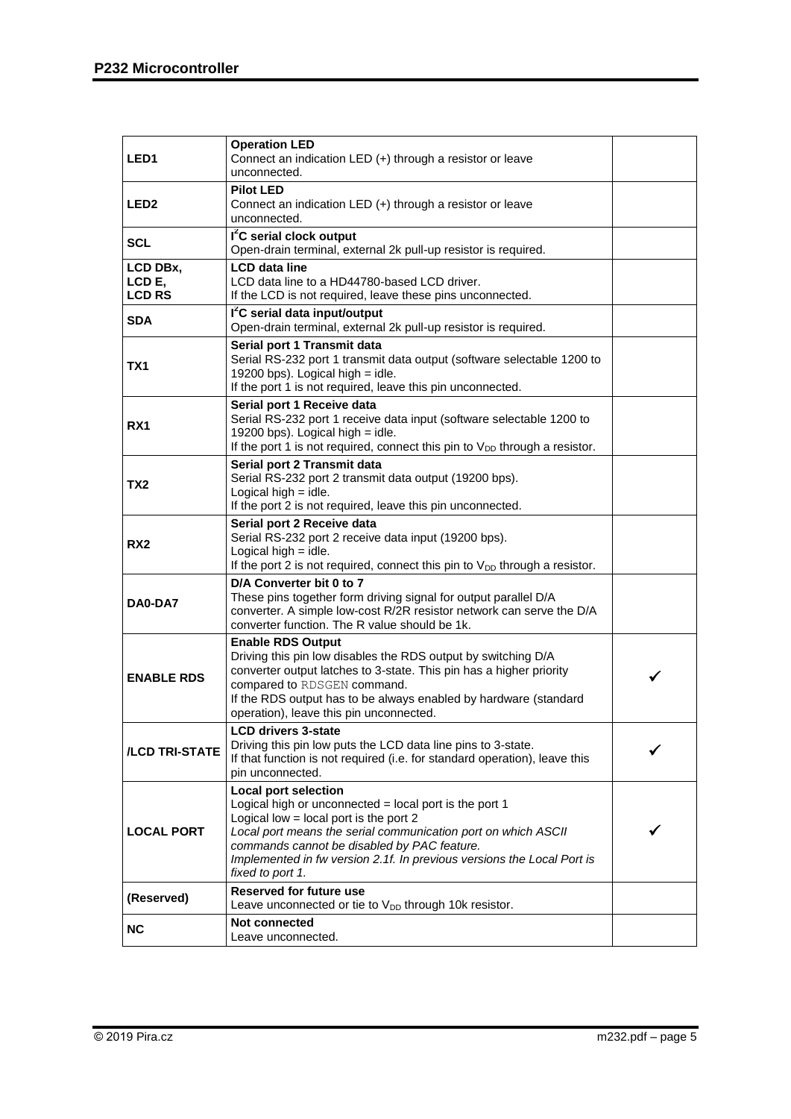| LED1                                | <b>Operation LED</b><br>Connect an indication LED (+) through a resistor or leave<br>unconnected.                                                                                                                                                                                                                                               |  |
|-------------------------------------|-------------------------------------------------------------------------------------------------------------------------------------------------------------------------------------------------------------------------------------------------------------------------------------------------------------------------------------------------|--|
| LED2                                | <b>Pilot LED</b><br>Connect an indication LED (+) through a resistor or leave<br>unconnected.                                                                                                                                                                                                                                                   |  |
| <b>SCL</b>                          | I <sup>2</sup> C serial clock output<br>Open-drain terminal, external 2k pull-up resistor is required.                                                                                                                                                                                                                                          |  |
| LCD DBx,<br>LCD E,<br><b>LCD RS</b> | <b>LCD</b> data line<br>LCD data line to a HD44780-based LCD driver.<br>If the LCD is not required, leave these pins unconnected.                                                                                                                                                                                                               |  |
| <b>SDA</b>                          | I <sup>2</sup> C serial data input/output<br>Open-drain terminal, external 2k pull-up resistor is required.                                                                                                                                                                                                                                     |  |
| TX1                                 | Serial port 1 Transmit data<br>Serial RS-232 port 1 transmit data output (software selectable 1200 to<br>19200 bps). Logical high $=$ idle.<br>If the port 1 is not required, leave this pin unconnected.                                                                                                                                       |  |
| RX <sub>1</sub>                     | Serial port 1 Receive data<br>Serial RS-232 port 1 receive data input (software selectable 1200 to<br>19200 bps). Logical high $=$ idle.<br>If the port 1 is not required, connect this pin to $V_{DD}$ through a resistor.                                                                                                                     |  |
| TX2                                 | Serial port 2 Transmit data<br>Serial RS-232 port 2 transmit data output (19200 bps).<br>Logical high $=$ idle.<br>If the port 2 is not required, leave this pin unconnected.                                                                                                                                                                   |  |
| RX2                                 | Serial port 2 Receive data<br>Serial RS-232 port 2 receive data input (19200 bps).<br>Logical high $=$ idle.<br>If the port 2 is not required, connect this pin to $V_{DD}$ through a resistor.                                                                                                                                                 |  |
| DA0-DA7                             | D/A Converter bit 0 to 7<br>These pins together form driving signal for output parallel D/A<br>converter. A simple low-cost R/2R resistor network can serve the D/A<br>converter function. The R value should be 1k.                                                                                                                            |  |
| <b>ENABLE RDS</b>                   | <b>Enable RDS Output</b><br>Driving this pin low disables the RDS output by switching D/A<br>converter output latches to 3-state. This pin has a higher priority<br>compared to RDSGEN command.<br>If the RDS output has to be always enabled by hardware (standard<br>operation), leave this pin unconnected.                                  |  |
| /LCD TRI-STATE                      | <b>LCD drivers 3-state</b><br>Driving this pin low puts the LCD data line pins to 3-state.<br>If that function is not required (i.e. for standard operation), leave this<br>pin unconnected.                                                                                                                                                    |  |
| <b>LOCAL PORT</b>                   | <b>Local port selection</b><br>Logical high or unconnected = local port is the port 1<br>Logical low $=$ local port is the port 2<br>Local port means the serial communication port on which ASCII<br>commands cannot be disabled by PAC feature.<br>Implemented in fw version 2.1f. In previous versions the Local Port is<br>fixed to port 1. |  |
| (Reserved)                          | <b>Reserved for future use</b><br>Leave unconnected or tie to V <sub>DD</sub> through 10k resistor.                                                                                                                                                                                                                                             |  |
| <b>NC</b>                           | Not connected<br>Leave unconnected.                                                                                                                                                                                                                                                                                                             |  |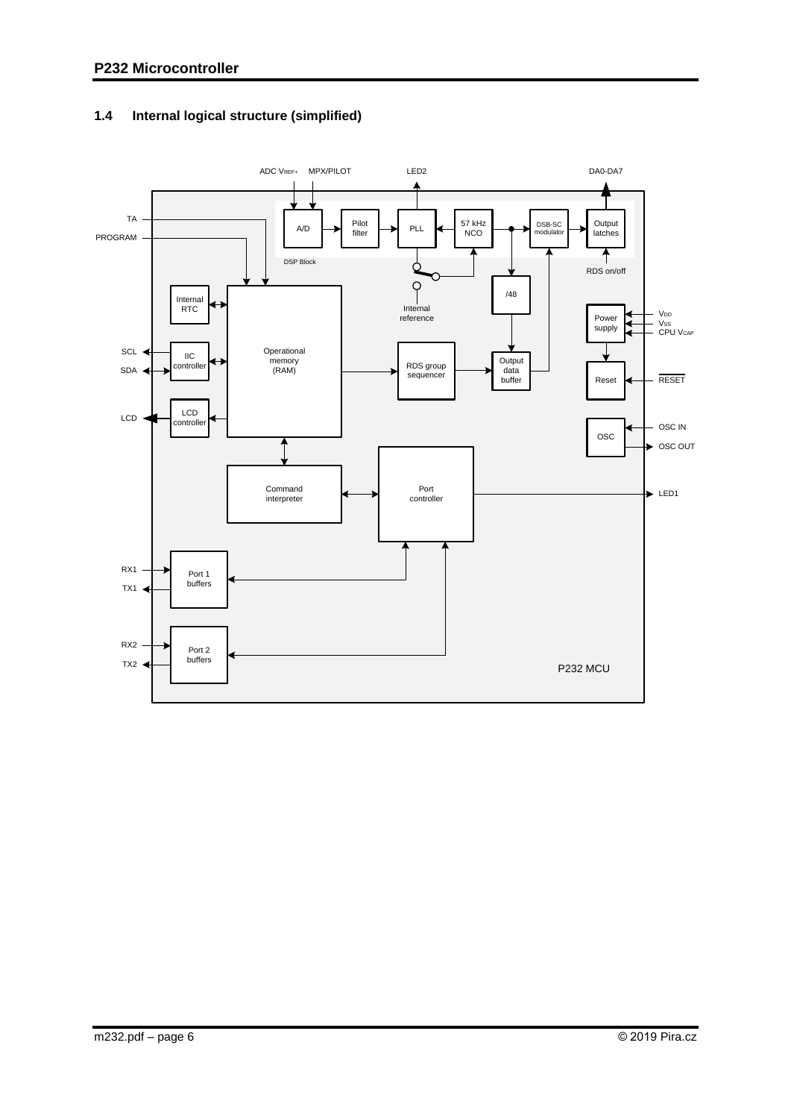

## <span id="page-5-0"></span>**1.4 Internal logical structure (simplified)**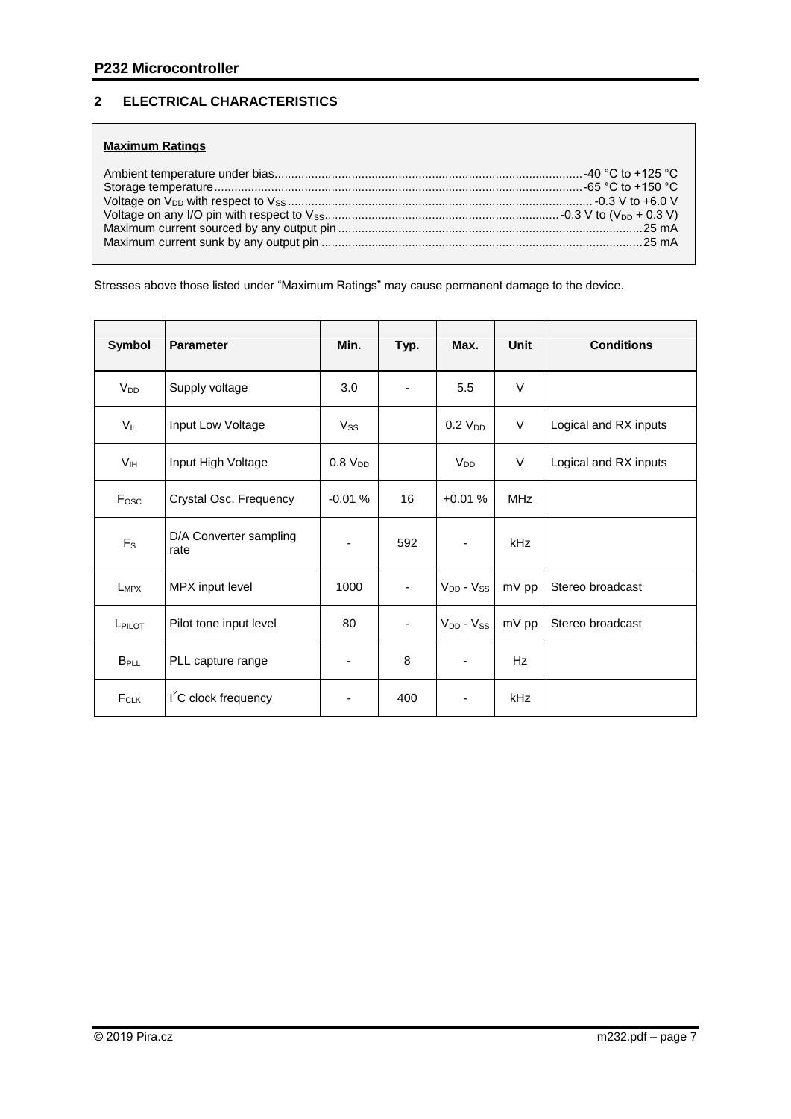## <span id="page-6-0"></span>**2 ELECTRICAL CHARACTERISTICS**

## **Maximum Ratings**

Stresses above those listed under "Maximum Ratings" may cause permanent damage to the device.

| Symbol                  | <b>Parameter</b>               | Min.                     | Typ.                     | Max.                | Unit       | <b>Conditions</b>     |
|-------------------------|--------------------------------|--------------------------|--------------------------|---------------------|------------|-----------------------|
| V <sub>DD</sub>         | Supply voltage                 | 3.0                      |                          | 5.5                 | $\vee$     |                       |
| V <sub>IL</sub>         | Input Low Voltage              | Vss                      |                          | 0.2 V <sub>DD</sub> | V          | Logical and RX inputs |
| V <sub>IH</sub>         | Input High Voltage             | 0.8 V <sub>DD</sub>      |                          | V <sub>DD</sub>     | $\vee$     | Logical and RX inputs |
| F <sub>osc</sub>        | Crystal Osc. Frequency         | $-0.01%$                 | 16                       | $+0.01%$            | <b>MHz</b> |                       |
| $F_S$                   | D/A Converter sampling<br>rate |                          | 592                      |                     | kHz        |                       |
| $L_{MPX}$               | MPX input level                | 1000                     | $\blacksquare$           | $V_{DD} - V_{SS}$   | mV pp      | Stereo broadcast      |
| LPILOT                  | Pilot tone input level         | 80                       | $\overline{\phantom{a}}$ | $V_{DD} - V_{SS}$   | mV pp      | Stereo broadcast      |
| <b>B</b> <sub>PLL</sub> | PLL capture range              | $\overline{\phantom{a}}$ | 8                        |                     | <b>Hz</b>  |                       |
| $F_{CLK}$               | $I2C$ clock frequency          |                          | 400                      |                     | kHz        |                       |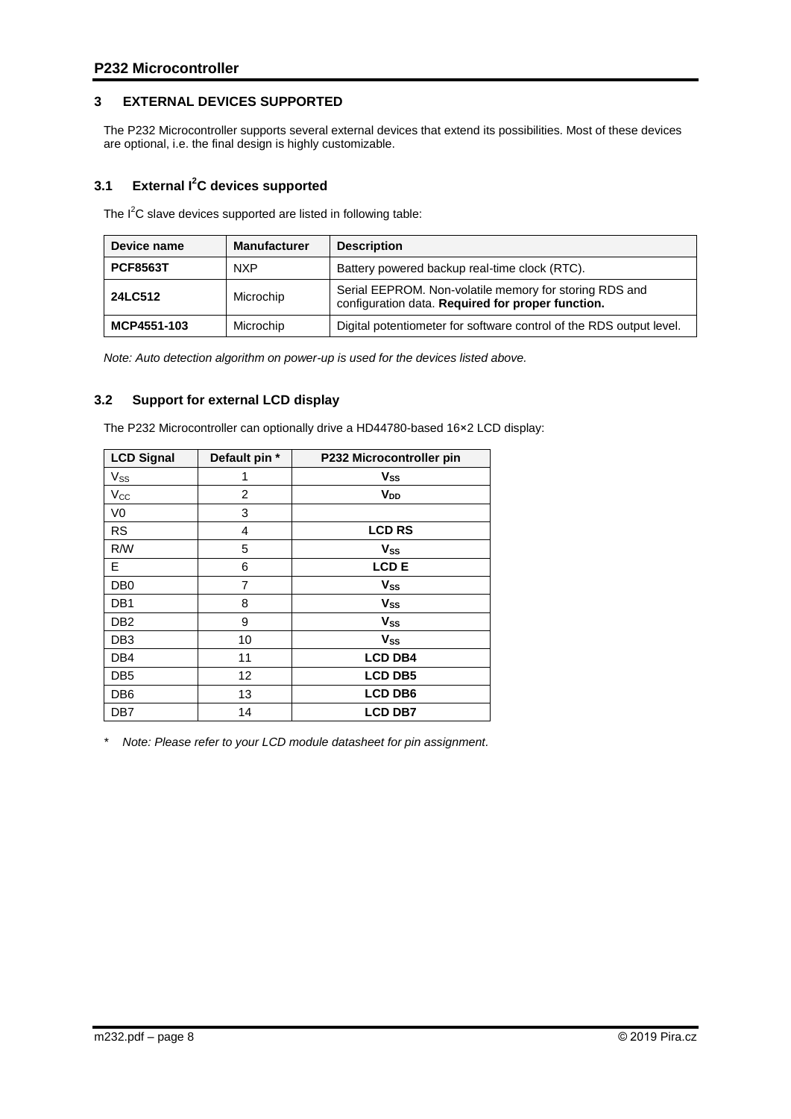## <span id="page-7-0"></span>**3 EXTERNAL DEVICES SUPPORTED**

The P232 Microcontroller supports several external devices that extend its possibilities. Most of these devices are optional, i.e. the final design is highly customizable.

## <span id="page-7-1"></span>**3.1 External I<sup>2</sup>C devices supported**

The I<sup>2</sup>C slave devices supported are listed in following table:

| Device name     | <b>Manufacturer</b> | <b>Description</b>                                                                                          |
|-----------------|---------------------|-------------------------------------------------------------------------------------------------------------|
| <b>PCF8563T</b> | <b>NXP</b>          | Battery powered backup real-time clock (RTC).                                                               |
| 24LC512         | Microchip           | Serial EEPROM. Non-volatile memory for storing RDS and<br>configuration data. Required for proper function. |
| MCP4551-103     | Microchip           | Digital potentiometer for software control of the RDS output level.                                         |

*Note: Auto detection algorithm on power-up is used for the devices listed above.* 

## <span id="page-7-2"></span>**3.2 Support for external LCD display**

The P232 Microcontroller can optionally drive a HD44780-based 16×2 LCD display:

| <b>LCD Signal</b>     | Default pin *  | P232 Microcontroller pin |
|-----------------------|----------------|--------------------------|
| <b>V<sub>ss</sub></b> | 1              | $V_{SS}$                 |
| $V_{\rm CC}$          | $\overline{2}$ | V <sub>DD</sub>          |
| V <sub>0</sub>        | 3              |                          |
| <b>RS</b>             | 4              | <b>LCD RS</b>            |
| R/W                   | 5              | $V_{SS}$                 |
| E.                    | 6              | LCD <sub>E</sub>         |
| D <sub>B</sub>        | 7              | Vss                      |
| DB <sub>1</sub>       | 8              | <b>Vss</b>               |
| DB <sub>2</sub>       | 9              | <b>Vss</b>               |
| DB <sub>3</sub>       | 10             | <b>Vss</b>               |
| DB4                   | 11             | <b>LCD DB4</b>           |
| DB <sub>5</sub>       | 12             | <b>LCD DB5</b>           |
| DB <sub>6</sub>       | 13             | <b>LCD DB6</b>           |
| DB7                   | 14             | <b>LCD DB7</b>           |

*\* Note: Please refer to your LCD module datasheet for pin assignment.*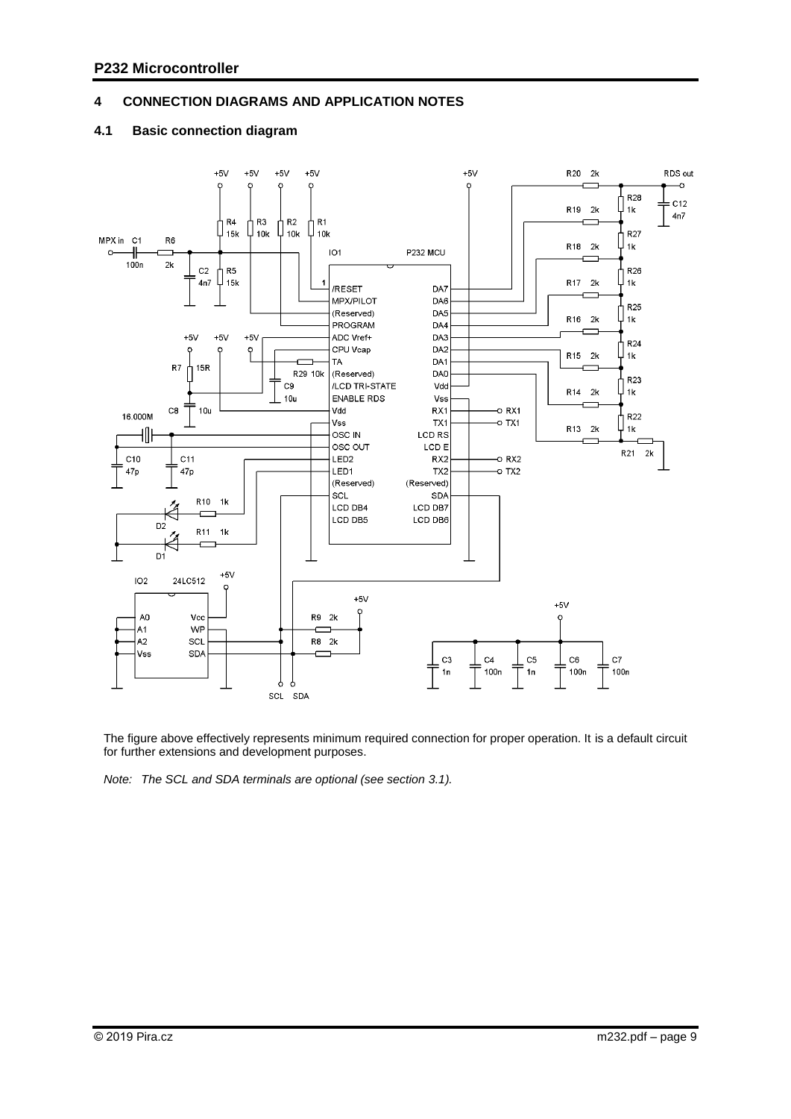### <span id="page-8-0"></span>**4 CONNECTION DIAGRAMS AND APPLICATION NOTES**

#### <span id="page-8-1"></span>**4.1 Basic connection diagram**



The figure above effectively represents minimum required connection for proper operation. It is a default circuit for further extensions and development purposes.

*Note: The SCL and SDA terminals are optional (see section 3.1).*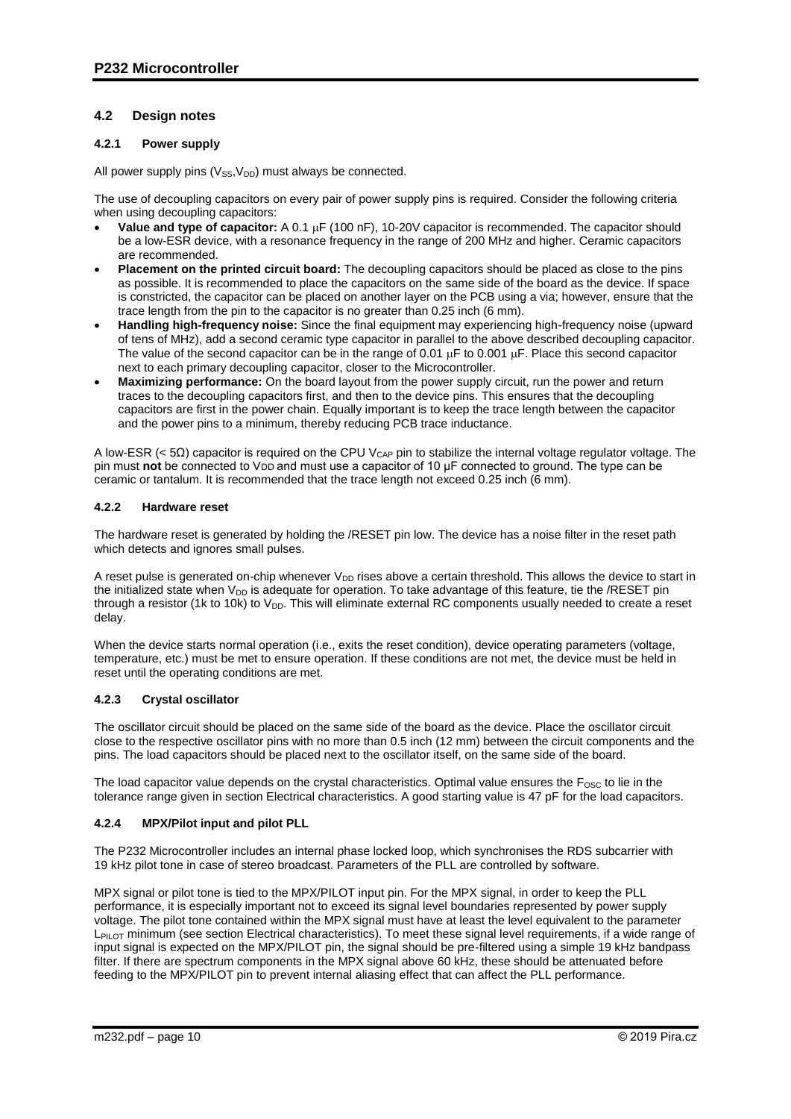## <span id="page-9-0"></span>**4.2 Design notes**

### <span id="page-9-1"></span>**4.2.1 Power supply**

All power supply pins  $(V_{SS}V_{DD})$  must always be connected.

The use of decoupling capacitors on every pair of power supply pins is required. Consider the following criteria when using decoupling capacitors:

- **Value and type of capacitor:** A 0.1  $\mu$ F (100 nF), 10-20V capacitor is recommended. The capacitor should be a low-ESR device, with a resonance frequency in the range of 200 MHz and higher. Ceramic capacitors are recommended.
- **Placement on the printed circuit board:** The decoupling capacitors should be placed as close to the pins as possible. It is recommended to place the capacitors on the same side of the board as the device. If space is constricted, the capacitor can be placed on another layer on the PCB using a via; however, ensure that the trace length from the pin to the capacitor is no greater than 0.25 inch (6 mm).
- **Handling high-frequency noise:** Since the final equipment may experiencing high-frequency noise (upward of tens of MHz), add a second ceramic type capacitor in parallel to the above described decoupling capacitor. The value of the second capacitor can be in the range of 0.01  $\mu$ F to 0.001  $\mu$ F. Place this second capacitor next to each primary decoupling capacitor, closer to the Microcontroller.
- **Maximizing performance:** On the board layout from the power supply circuit, run the power and return traces to the decoupling capacitors first, and then to the device pins. This ensures that the decoupling capacitors are first in the power chain. Equally important is to keep the trace length between the capacitor and the power pins to a minimum, thereby reducing PCB trace inductance.

A low-ESR (< 5Ω) capacitor is required on the CPU V<sub>CAP</sub> pin to stabilize the internal voltage regulator voltage. The pin must **not** be connected to VDD and must use a capacitor of 10 μF connected to ground. The type can be ceramic or tantalum. It is recommended that the trace length not exceed 0.25 inch (6 mm).

#### <span id="page-9-2"></span>**4.2.2 Hardware reset**

The hardware reset is generated by holding the /RESET pin low. The device has a noise filter in the reset path which detects and ignores small pulses.

A reset pulse is generated on-chip whenever  $V_{DD}$  rises above a certain threshold. This allows the device to start in the initialized state when  $V_{DD}$  is adequate for operation. To take advantage of this feature, tie the /RESET pin through a resistor (1k to 10k) to  $V_{DD}$ . This will eliminate external RC components usually needed to create a reset delay.

When the device starts normal operation (i.e., exits the reset condition), device operating parameters (voltage, temperature, etc.) must be met to ensure operation. If these conditions are not met, the device must be held in reset until the operating conditions are met.

#### <span id="page-9-3"></span>**4.2.3 Crystal oscillator**

The oscillator circuit should be placed on the same side of the board as the device. Place the oscillator circuit close to the respective oscillator pins with no more than 0.5 inch (12 mm) between the circuit components and the pins. The load capacitors should be placed next to the oscillator itself, on the same side of the board.

The load capacitor value depends on the crystal characteristics. Optimal value ensures the  $F_{\rm osc}$  to lie in the tolerance range given in section Electrical characteristics. A good starting value is 47 pF for the load capacitors.

#### <span id="page-9-4"></span>**4.2.4 MPX/Pilot input and pilot PLL**

The P232 Microcontroller includes an internal phase locked loop, which synchronises the RDS subcarrier with 19 kHz pilot tone in case of stereo broadcast. Parameters of the PLL are controlled by software.

MPX signal or pilot tone is tied to the MPX/PILOT input pin. For the MPX signal, in order to keep the PLL performance, it is especially important not to exceed its signal level boundaries represented by power supply voltage. The pilot tone contained within the MPX signal must have at least the level equivalent to the parameter L<sub>PILOT</sub> minimum (see section Electrical characteristics). To meet these signal level requirements, if a wide range of input signal is expected on the MPX/PILOT pin, the signal should be pre-filtered using a simple 19 kHz bandpass filter. If there are spectrum components in the MPX signal above 60 kHz, these should be attenuated before feeding to the MPX/PILOT pin to prevent internal aliasing effect that can affect the PLL performance.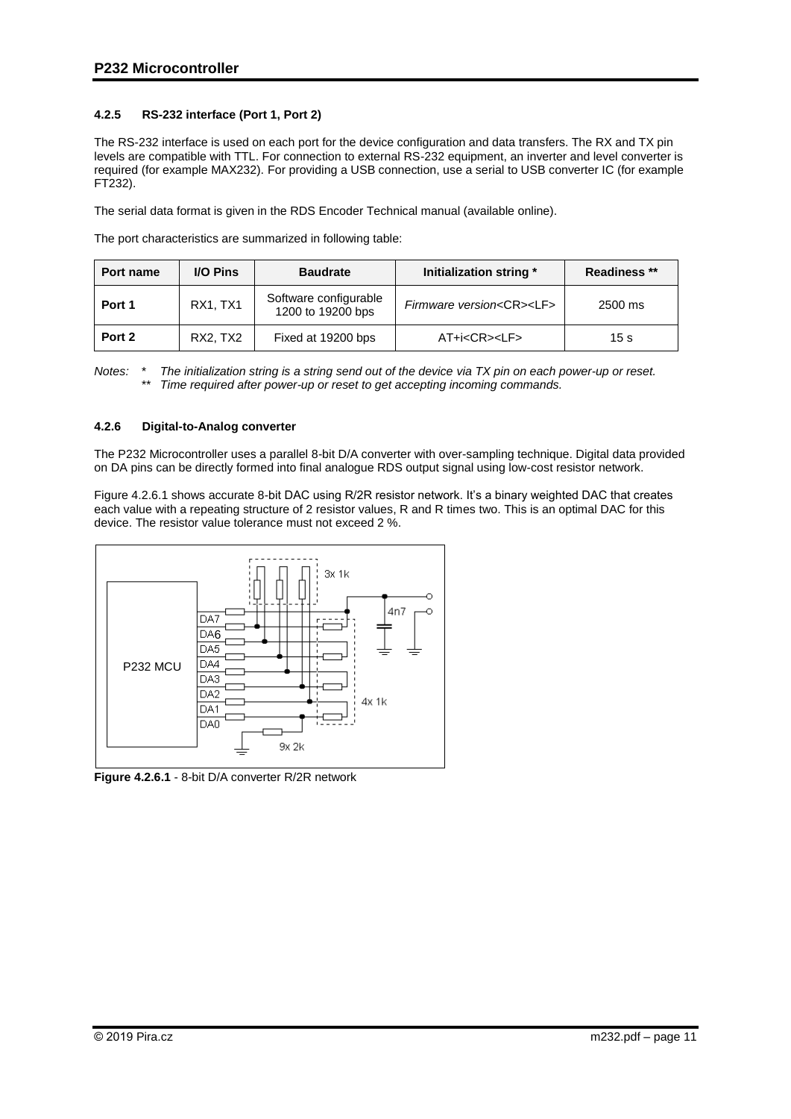## <span id="page-10-0"></span>**4.2.5 RS-232 interface (Port 1, Port 2)**

The RS-232 interface is used on each port for the device configuration and data transfers. The RX and TX pin levels are compatible with TTL. For connection to external RS-232 equipment, an inverter and level converter is required (for example MAX232). For providing a USB connection, use a serial to USB converter IC (for example FT232).

The serial data format is given in the RDS Encoder Technical manual (available online).

The port characteristics are summarized in following table:

| Port name | <b>I/O Pins</b> | <b>Baudrate</b>                            | Initialization string *             | Readiness ** |
|-----------|-----------------|--------------------------------------------|-------------------------------------|--------------|
| Port 1    | <b>RX1. TX1</b> | Software configurable<br>1200 to 19200 bps | Firmware version <cr><lf></lf></cr> | $2500$ ms    |
| Port 2    | RX2. TX2        | Fixed at 19200 bps                         | AT+i <cr><lf></lf></cr>             | 15 s         |

*Notes: \* The initialization string is a string send out of the device via TX pin on each power-up or reset. \*\* Time required after power-up or reset to get accepting incoming commands.*

#### <span id="page-10-1"></span>**4.2.6 Digital-to-Analog converter**

The P232 Microcontroller uses a parallel 8-bit D/A converter with over-sampling technique. Digital data provided on DA pins can be directly formed into final analogue RDS output signal using low-cost resistor network.

Figure 4.2.6.1 shows accurate 8-bit DAC using R/2R resistor network. It's a binary weighted DAC that creates each value with a repeating structure of 2 resistor values, R and R times two. This is an optimal DAC for this device. The resistor value tolerance must not exceed 2 %.



**Figure 4.2.6.1** - 8-bit D/A converter R/2R network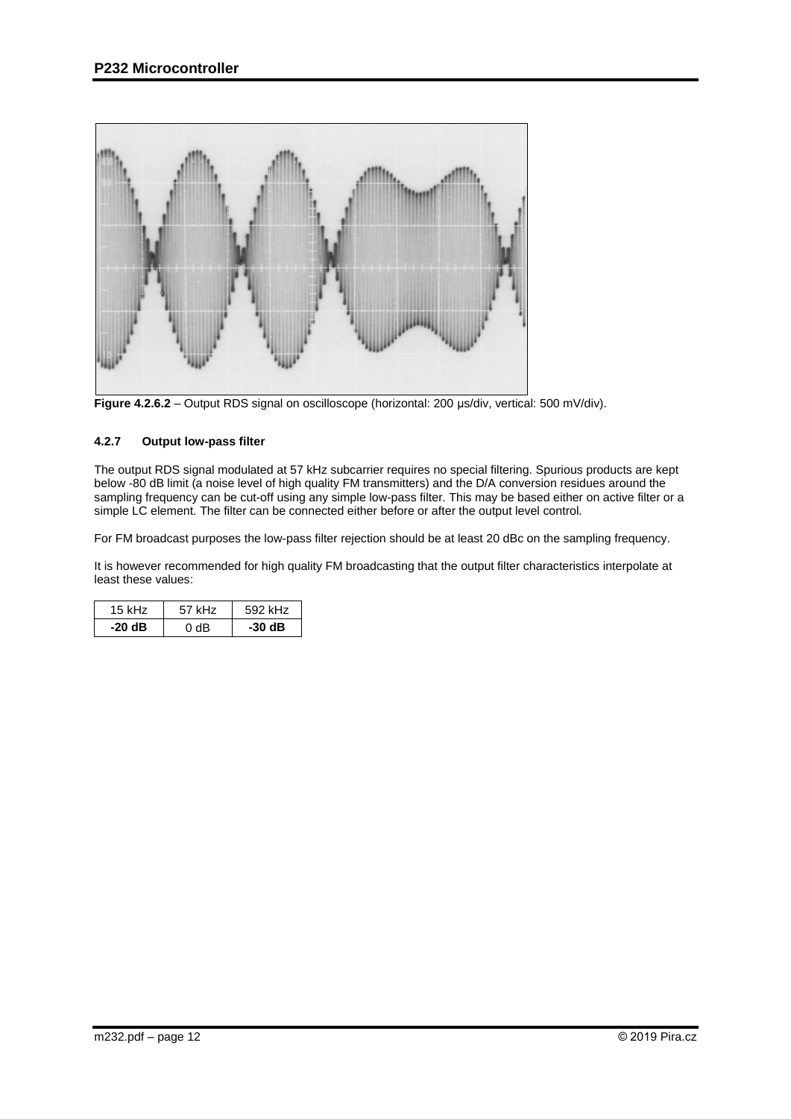

**Figure 4.2.6.2** – Output RDS signal on oscilloscope (horizontal: 200 us/div, vertical: 500 mV/div).

### <span id="page-11-0"></span>**4.2.7 Output low-pass filter**

The output RDS signal modulated at 57 kHz subcarrier requires no special filtering. Spurious products are kept below -80 dB limit (a noise level of high quality FM transmitters) and the D/A conversion residues around the sampling frequency can be cut-off using any simple low-pass filter. This may be based either on active filter or a simple LC element. The filter can be connected either before or after the output level control.

For FM broadcast purposes the low-pass filter rejection should be at least 20 dBc on the sampling frequency.

It is however recommended for high quality FM broadcasting that the output filter characteristics interpolate at least these values:

| 15 kHz   | 57 kHz | 592 kHz |
|----------|--------|---------|
| $-20 dB$ | ገ dB   | $-30dB$ |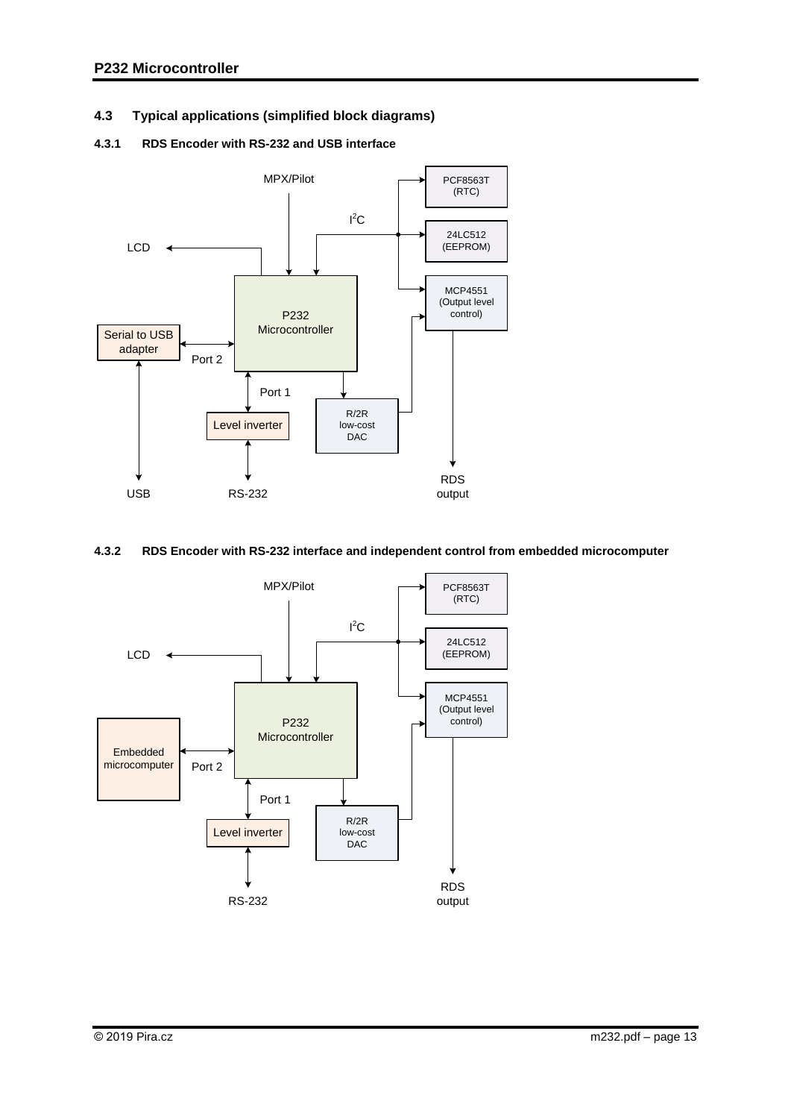## <span id="page-12-0"></span>**4.3 Typical applications (simplified block diagrams)**

## <span id="page-12-1"></span>**4.3.1 RDS Encoder with RS-232 and USB interface**



## <span id="page-12-2"></span>**4.3.2 RDS Encoder with RS-232 interface and independent control from embedded microcomputer**

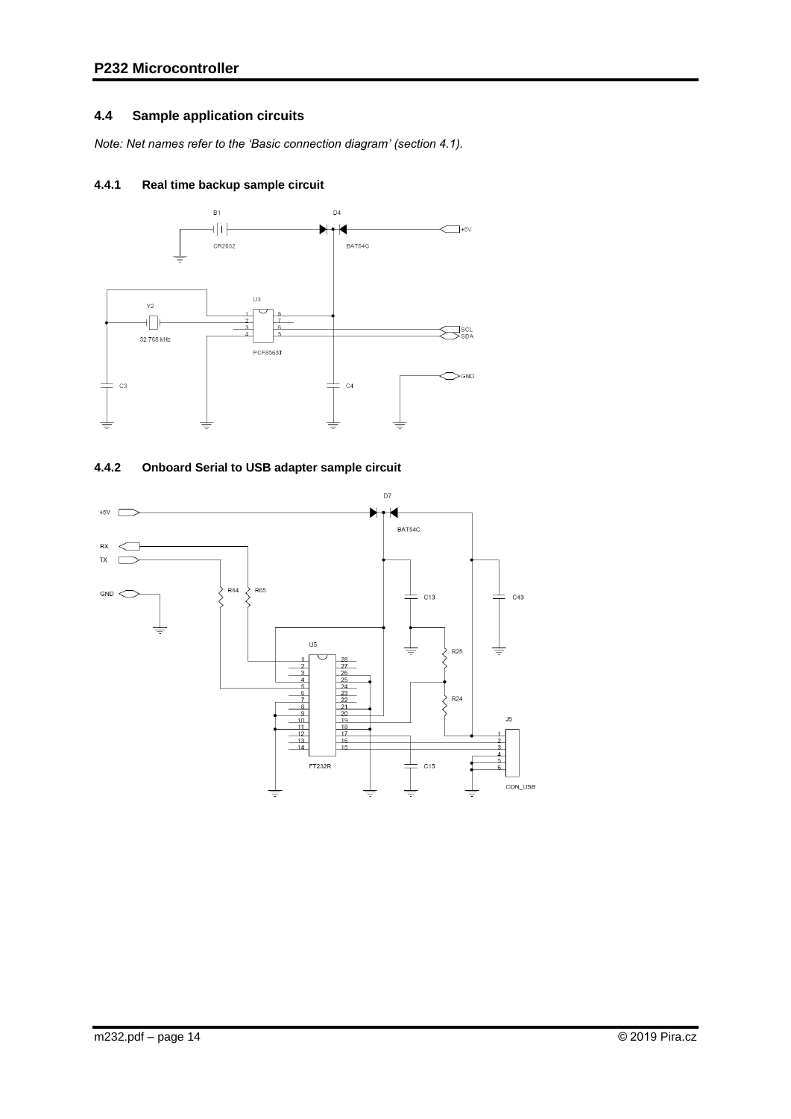## <span id="page-13-0"></span>**4.4 Sample application circuits**

*Note: Net names refer to the 'Basic connection diagram' (section 4.1).*

## <span id="page-13-1"></span>**4.4.1 Real time backup sample circuit**



## <span id="page-13-2"></span>**4.4.2 Onboard Serial to USB adapter sample circuit**

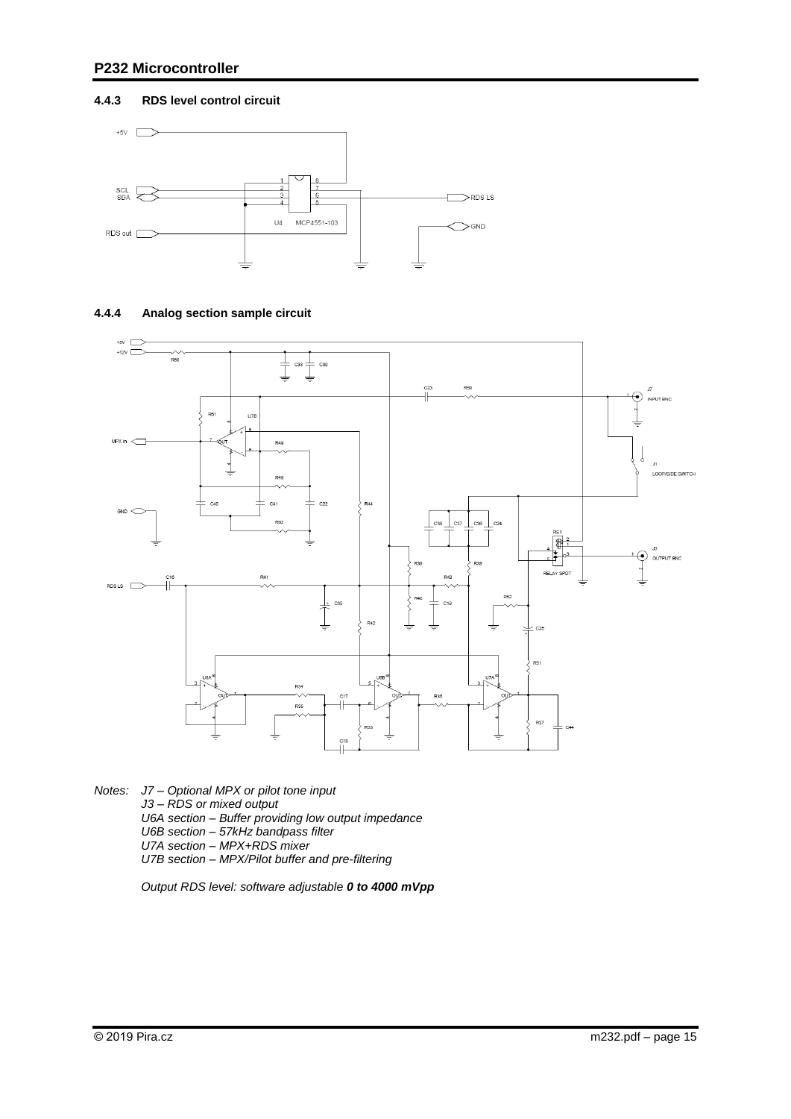### <span id="page-14-0"></span>**4.4.3 RDS level control circuit**





### <span id="page-14-1"></span>**4.4.4 Analog section sample circuit**

*Notes: J7 – Optional MPX or pilot tone input J3 – RDS or mixed output U6A section – Buffer providing low output impedance U6B section – 57kHz bandpass filter U7A section – MPX+RDS mixer U7B section – MPX/Pilot buffer and pre-filtering*

*Output RDS level: software adjustable 0 to 4000 mVpp*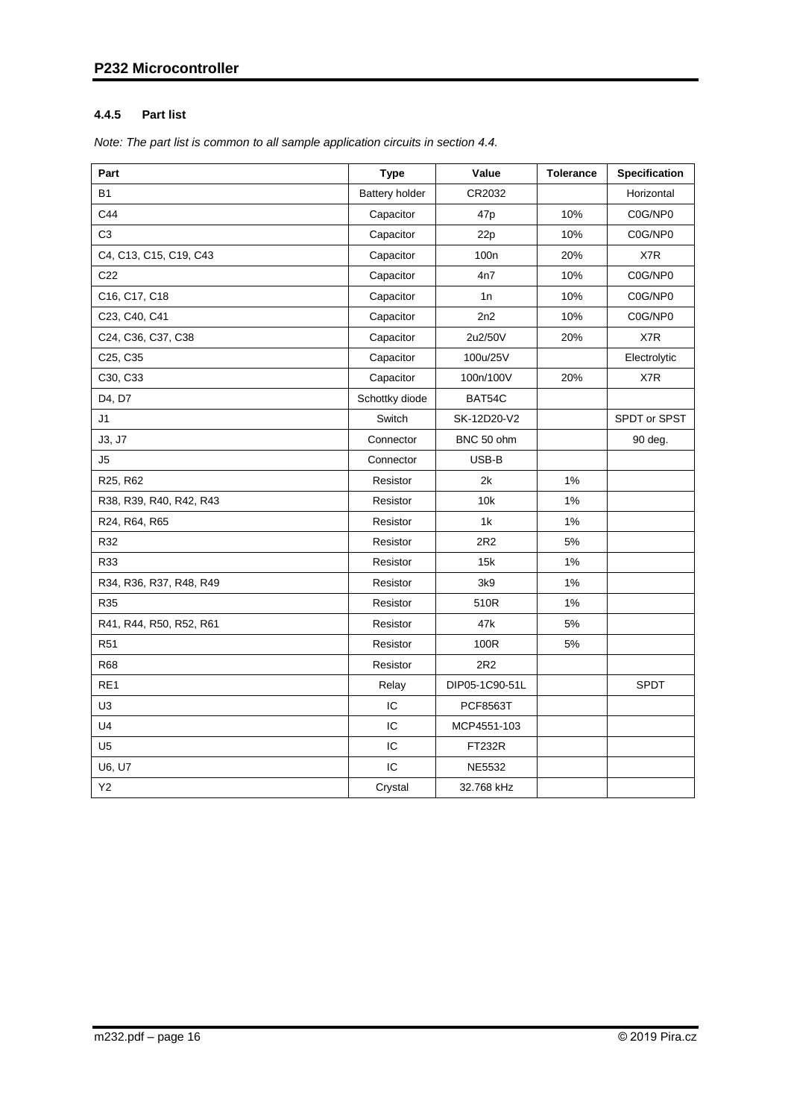## <span id="page-15-0"></span>**4.4.5 Part list**

*Note: The part list is common to all sample application circuits in section 4.4.*

| Part                    | Type                  | Value            | <b>Tolerance</b> | Specification |
|-------------------------|-----------------------|------------------|------------------|---------------|
| <b>B1</b>               | <b>Battery holder</b> | CR2032           |                  | Horizontal    |
| C44                     | Capacitor             | 47 <sub>p</sub>  | 10%              | C0G/NP0       |
| C <sub>3</sub>          | Capacitor             | 22p              | 10%              | C0G/NP0       |
| C4, C13, C15, C19, C43  | Capacitor             | 100 <sub>n</sub> | 20%              | X7R           |
| C <sub>22</sub>         | Capacitor             | 4n7              | 10%              | C0G/NP0       |
| C16, C17, C18           | Capacitor             | 1n               | 10%              | C0G/NP0       |
| C23, C40, C41           | Capacitor             | 2n2              | 10%              | C0G/NP0       |
| C24, C36, C37, C38      | Capacitor             | 2u2/50V          | 20%              | X7R           |
| C25, C35                | Capacitor             | 100u/25V         |                  | Electrolytic  |
| C30, C33                | Capacitor             | 100n/100V        | 20%              | X7R           |
| D4, D7                  | Schottky diode        | BAT54C           |                  |               |
| J1                      | Switch                | SK-12D20-V2      |                  | SPDT or SPST  |
| J3, J7                  | Connector             | BNC 50 ohm       |                  | 90 deg.       |
| J5                      | Connector             | USB-B            |                  |               |
| R25, R62                | Resistor              | 2k               | 1%               |               |
| R38, R39, R40, R42, R43 | Resistor              | 10k              | 1%               |               |
| R24, R64, R65           | Resistor              | 1k               | 1%               |               |
| R32                     | Resistor              | 2R2              | 5%               |               |
| R33                     | Resistor              | 15k              | 1%               |               |
| R34, R36, R37, R48, R49 | Resistor              | 3k9              | 1%               |               |
| R35                     | Resistor              | 510R             | 1%               |               |
| R41, R44, R50, R52, R61 | Resistor              | 47k              | 5%               |               |
| R <sub>51</sub>         | Resistor              | 100R             | 5%               |               |
| <b>R68</b>              | Resistor              | 2R2              |                  |               |
| RE1                     | Relay                 | DIP05-1C90-51L   |                  | <b>SPDT</b>   |
| U3                      | IC                    | <b>PCF8563T</b>  |                  |               |
| U <sub>4</sub>          | IC                    | MCP4551-103      |                  |               |
| U <sub>5</sub>          | IC                    | <b>FT232R</b>    |                  |               |
| U6, U7                  | IC                    | <b>NE5532</b>    |                  |               |
| Y2                      | Crystal               | 32.768 kHz       |                  |               |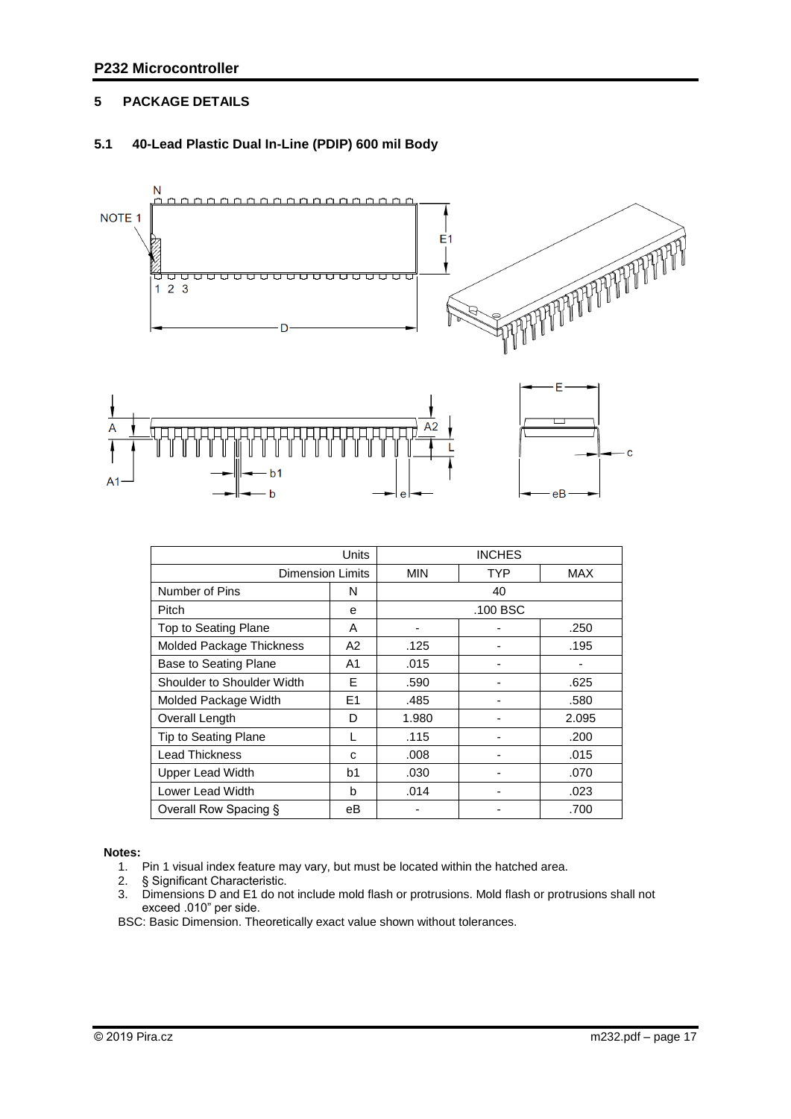## <span id="page-16-0"></span>**5 PACKAGE DETAILS**

## <span id="page-16-1"></span>**5.1 40-Lead Plastic Dual In-Line (PDIP) 600 mil Body**



|                            |                | <b>INCHES</b> |            |            |  |  |
|----------------------------|----------------|---------------|------------|------------|--|--|
| <b>Dimension Limits</b>    |                | <b>MIN</b>    | <b>TYP</b> | <b>MAX</b> |  |  |
| Number of Pins             | N              |               | 40         |            |  |  |
| Pitch                      | e              |               | .100 BSC   |            |  |  |
| Top to Seating Plane       | A              |               |            | .250       |  |  |
| Molded Package Thickness   | A2             | .125          |            | .195       |  |  |
| Base to Seating Plane      | A1             | .015          |            |            |  |  |
| Shoulder to Shoulder Width | F              | .590          |            | .625       |  |  |
| Molded Package Width       | E <sub>1</sub> | .485          |            | .580       |  |  |
| Overall Length             | D              | 1.980         |            | 2.095      |  |  |
| Tip to Seating Plane       |                | .115          |            | .200       |  |  |
| <b>Lead Thickness</b>      | C              | .008          |            | .015       |  |  |
| Upper Lead Width           | b1             | .030          |            | .070       |  |  |
| Lower Lead Width           | b              | .014          |            | .023       |  |  |
| Overall Row Spacing §      | eВ             |               |            | .700       |  |  |

#### **Notes:**

1. Pin 1 visual index feature may vary, but must be located within the hatched area.

- 2. § Significant Characteristic.
- 3. Dimensions D and E1 do not include mold flash or protrusions. Mold flash or protrusions shall not exceed .010" per side.

BSC: Basic Dimension. Theoretically exact value shown without tolerances.